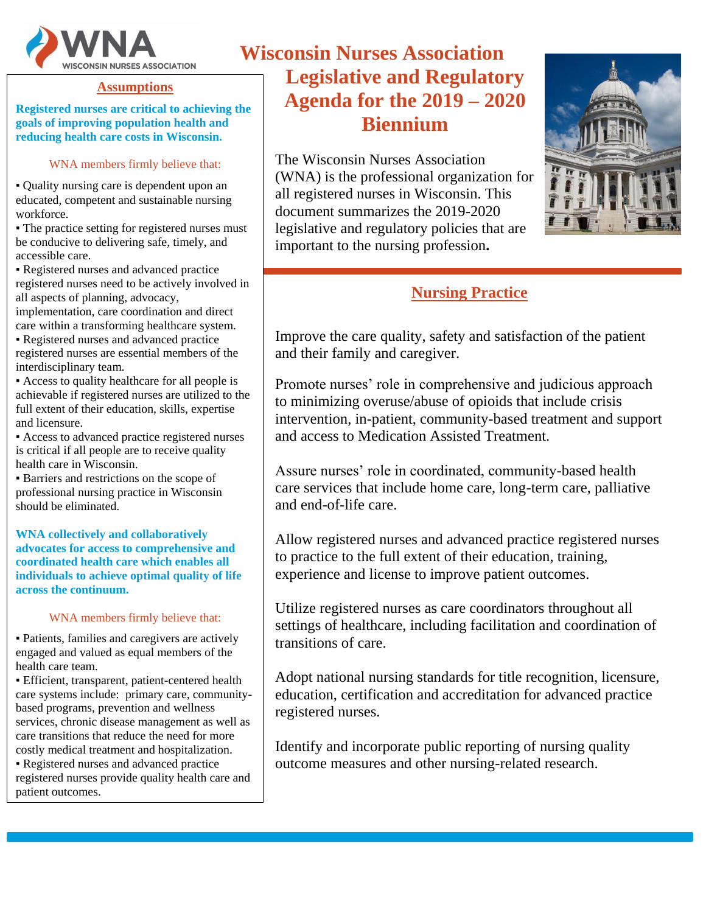

#### **Assumptions**

**Registered nurses are critical to achieving the goals of improving population health and reducing health care costs in Wisconsin.**

#### WNA members firmly believe that:

▪ Quality nursing care is dependent upon an educated, competent and sustainable nursing workforce.

▪ The practice setting for registered nurses must be conducive to delivering safe, timely, and accessible care.

▪ Registered nurses and advanced practice registered nurses need to be actively involved in all aspects of planning, advocacy,

implementation, care coordination and direct care within a transforming healthcare system.

▪ Registered nurses and advanced practice registered nurses are essential members of the interdisciplinary team.

▪ Access to quality healthcare for all people is achievable if registered nurses are utilized to the full extent of their education, skills, expertise and licensure.

▪ Access to advanced practice registered nurses is critical if all people are to receive quality health care in Wisconsin.

▪ Barriers and restrictions on the scope of professional nursing practice in Wisconsin should be eliminated.

**WNA collectively and collaboratively advocates for access to comprehensive and coordinated health care which enables all individuals to achieve optimal quality of life across the continuum.**

#### WNA members firmly believe that:

▪ Patients, families and caregivers are actively engaged and valued as equal members of the health care team.

▪ Efficient, transparent, patient-centered health care systems include: primary care, communitybased programs, prevention and wellness services, chronic disease management as well as care transitions that reduce the need for more costly medical treatment and hospitalization.

▪ Registered nurses and advanced practice registered nurses provide quality health care and patient outcomes.

# **Wisconsin Nurses Association Legislative and Regulatory Agenda for the 2019 – 2020 Biennium**

The Wisconsin Nurses Association (WNA) is the professional organization for all registered nurses in Wisconsin. This document summarizes the 2019-2020 legislative and regulatory policies that are important to the nursing profession**.**



# **Nursing Practice**

Improve the care quality, safety and satisfaction of the patient and their family and caregiver.

Promote nurses' role in comprehensive and judicious approach to minimizing overuse/abuse of opioids that include crisis intervention, in-patient, community-based treatment and support and access to Medication Assisted Treatment.

Assure nurses' role in coordinated, community-based health care services that include home care, long-term care, palliative and end-of-life care.

Allow registered nurses and advanced practice registered nurses to practice to the full extent of their education, training, experience and license to improve patient outcomes.

Utilize registered nurses as care coordinators throughout all settings of healthcare, including facilitation and coordination of transitions of care.

Adopt national nursing standards for title recognition, licensure, education, certification and accreditation for advanced practice registered nurses.

Identify and incorporate public reporting of nursing quality outcome measures and other nursing-related research.